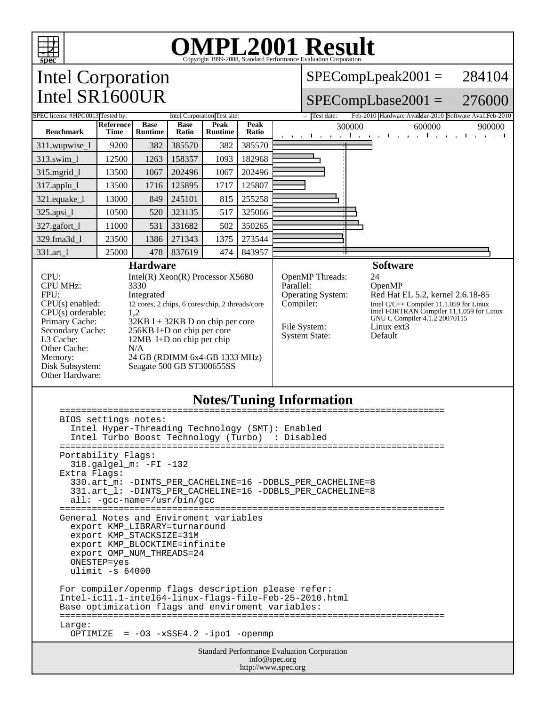

# OMPL2001 Result 1999-2008, Standard Performance Evaluation Corporation

## Intel Corporation Intel SR1600UR

SPECompLpeak2001 = 284104

#### SPECompLbase2001 = 276000

| SPEC license #HPG0013 Tested by:                                                                                                                                                                                                                                                                                                                                                                                                                                                                                   |                                 |                               | Intel Corporation Test site: |                        |                                                                                                                                                                                                                                                                                                                                        | -- Test date:<br>Feb-2010 Hardware AvaiMar-2010 Software AvailFeb-2010 |
|--------------------------------------------------------------------------------------------------------------------------------------------------------------------------------------------------------------------------------------------------------------------------------------------------------------------------------------------------------------------------------------------------------------------------------------------------------------------------------------------------------------------|---------------------------------|-------------------------------|------------------------------|------------------------|----------------------------------------------------------------------------------------------------------------------------------------------------------------------------------------------------------------------------------------------------------------------------------------------------------------------------------------|------------------------------------------------------------------------|
| <b>Benchmark</b>                                                                                                                                                                                                                                                                                                                                                                                                                                                                                                   | <b>Reference</b><br><b>Time</b> | <b>Base</b><br><b>Runtime</b> | <b>Base</b><br>Ratio         | Peak<br><b>Runtime</b> | Peak<br>Ratio                                                                                                                                                                                                                                                                                                                          | 300000<br>900000<br>600000<br>.<br><b>Contract Contract Contract</b>   |
| 311.wupwise_1                                                                                                                                                                                                                                                                                                                                                                                                                                                                                                      | 9200                            | 382                           | 385570                       | 382                    | 385570                                                                                                                                                                                                                                                                                                                                 |                                                                        |
| 313.swim_1                                                                                                                                                                                                                                                                                                                                                                                                                                                                                                         | 12500                           | 1263                          | 158357                       | 1093                   | 182968                                                                                                                                                                                                                                                                                                                                 |                                                                        |
| $315$ .mgrid $1$                                                                                                                                                                                                                                                                                                                                                                                                                                                                                                   | 13500                           | 1067                          | 202496                       | 1067                   | 202496                                                                                                                                                                                                                                                                                                                                 |                                                                        |
| 317.applu_l                                                                                                                                                                                                                                                                                                                                                                                                                                                                                                        | 13500                           | 1716                          | 125895                       | 1717                   | 125807                                                                                                                                                                                                                                                                                                                                 |                                                                        |
| 321.equake_1                                                                                                                                                                                                                                                                                                                                                                                                                                                                                                       | 13000                           | 849                           | 245101                       | 815                    | 255258                                                                                                                                                                                                                                                                                                                                 |                                                                        |
| $325 \text{ apsi}\_1$                                                                                                                                                                                                                                                                                                                                                                                                                                                                                              | 10500                           | 520                           | 323135                       | 517                    | 325066                                                                                                                                                                                                                                                                                                                                 |                                                                        |
| 327.gafort_l                                                                                                                                                                                                                                                                                                                                                                                                                                                                                                       | 11000                           | 531                           | 331682                       | 502                    | 350265                                                                                                                                                                                                                                                                                                                                 |                                                                        |
| 329.fma3d 1                                                                                                                                                                                                                                                                                                                                                                                                                                                                                                        | 23500                           | 1386                          | 271343                       | 1375                   | 273544                                                                                                                                                                                                                                                                                                                                 |                                                                        |
| 331.art_1                                                                                                                                                                                                                                                                                                                                                                                                                                                                                                          | 25000                           | 478                           | 837619                       | 474                    | 843957                                                                                                                                                                                                                                                                                                                                 | п                                                                      |
| <b>Hardware</b><br>CPU:<br>Intel(R) $Xeon(R)$ Processor $X5680$<br><b>CPU MHz:</b><br>3330<br>FPU:<br>Integrated<br>$CPU(s)$ enabled:<br>12 cores, 2 chips, 6 cores/chip, 2 threads/core<br>$CPU(s)$ orderable:<br>1,2<br>Primary Cache:<br>$32KB I + 32KB D$ on chip per core<br>256KB I+D on chip per core<br>Secondary Cache:<br>L3 Cache:<br>$12MB$ I+D on chip per chip<br>Other Cache:<br>N/A<br>24 GB (RDIMM 6x4-GB 1333 MHz)<br>Memory:<br>Disk Subsystem:<br>Seagate 500 GB ST300655SS<br>Other Hardware: |                                 |                               |                              |                        | <b>Software</b><br>OpenMP Threads:<br>24<br>Parallel:<br>OpenMP<br><b>Operating System:</b><br>Red Hat EL 5.2, kernel 2.6.18-85<br>Compiler:<br>Intel C/C++ Compiler 11.1.059 for Linux<br>Intel FORTRAN Compiler 11.1.059 for Linux<br>GNU C Compiler 4.1.2 20070115<br>Linux ext3<br>File System:<br>Default<br><b>System State:</b> |                                                                        |

### **Notes/Tuning Information**

| BIOS settings notes:<br>Intel Hyper-Threading Technology (SMT): Enabled<br>Intel Turbo Boost Technology (Turbo) : Disabled                                                                                                  |  |  |  |  |  |
|-----------------------------------------------------------------------------------------------------------------------------------------------------------------------------------------------------------------------------|--|--|--|--|--|
| Portability Flags:<br>$318.galgel_m: -FI -132$<br>Extra Flags:<br>330.art_m: -DINTS_PER_CACHELINE=16 -DDBLS_PER_CACHELINE=8<br>331.art 1: -DINTS PER CACHELINE=16 -DDBLS PER CACHELINE=8<br>$all: -gcc-name = /usr/bin/gcc$ |  |  |  |  |  |
| General Notes and Enviroment variables<br>export KMP LIBRARY=turnaround<br>export KMP STACKSIZE=31M<br>export KMP_BLOCKTIME=infinite<br>export OMP NUM THREADS=24<br>ONESTEP=yes<br>ulimit $-s$ 64000                       |  |  |  |  |  |
| For compiler/openmp flags description please refer:<br>Intel-ic11.1-intel64-linux-flags-file-Feb-25-2010.html<br>Base optimization flags and enviroment variables:<br>Large:<br>OPTIMIZE = $-03 - xSSE4.2 - ipo1 - openmp$  |  |  |  |  |  |
| <b>Standard Performance Evaluation Corporation</b><br>info@spec.org                                                                                                                                                         |  |  |  |  |  |

http://www.spec.org